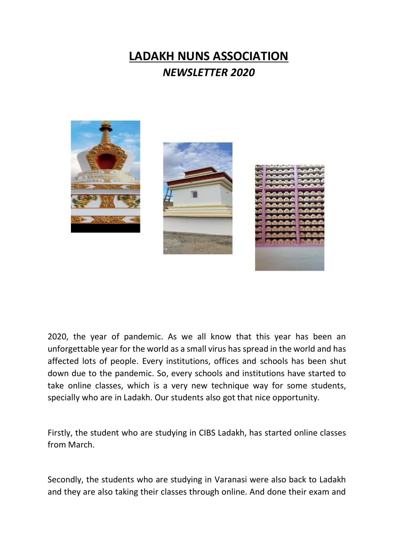## **LADAKH NUNS ASSOCIATION** *NEWSLETTER 2020*







2020, the year of pandemic. As we all know that this year has been an unforgettable year for the world as a small virus has spread in the world and has affected lots of people. Every institutions, offices and schools has been shut down due to the pandemic. So, every schools and institutions have started to take online classes, which is a very new technique way for some students, specially who are in Ladakh. Our students also got that nice opportunity.

Firstly, the student who are studying in CIBS Ladakh, has started online classes from March.

Secondly, the students who are studying in Varanasi were also back to Ladakh and they are also taking their classes through online. And done their exam and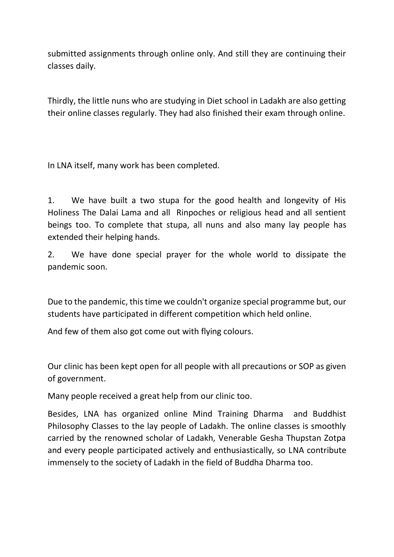submitted assignments through online only. And still they are continuing their classes daily.

Thirdly, the little nuns who are studying in Diet school in Ladakh are also getting their online classes regularly. They had also finished their exam through online.

In LNA itself, many work has been completed.

1. We have built a two stupa for the good health and longevity of His Holiness The Dalai Lama and all Rinpoches or religious head and all sentient beings too. To complete that stupa, all nuns and also many lay people has extended their helping hands.

2. We have done special prayer for the whole world to dissipate the pandemic soon.

Due to the pandemic, this time we couldn't organize special programme but, our students have participated in different competition which held online.

And few of them also got come out with flying colours.

Our clinic has been kept open for all people with all precautions or SOP as given of government.

Many people received a great help from our clinic too.

Besides, LNA has organized online Mind Training Dharma and Buddhist Philosophy Classes to the lay people of Ladakh. The online classes is smoothly carried by the renowned scholar of Ladakh, Venerable Gesha Thupstan Zotpa and every people participated actively and enthusiastically, so LNA contribute immensely to the society of Ladakh in the field of Buddha Dharma too.